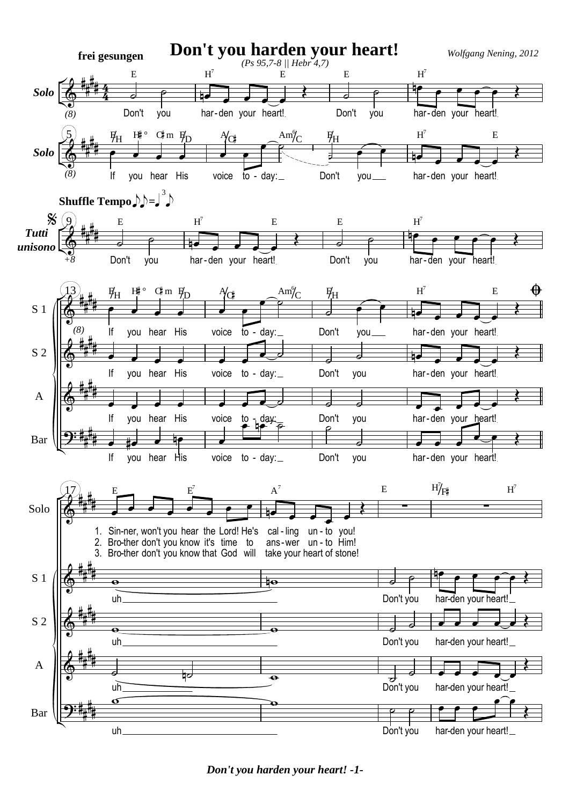

*Don't you harden your heart! -1-*